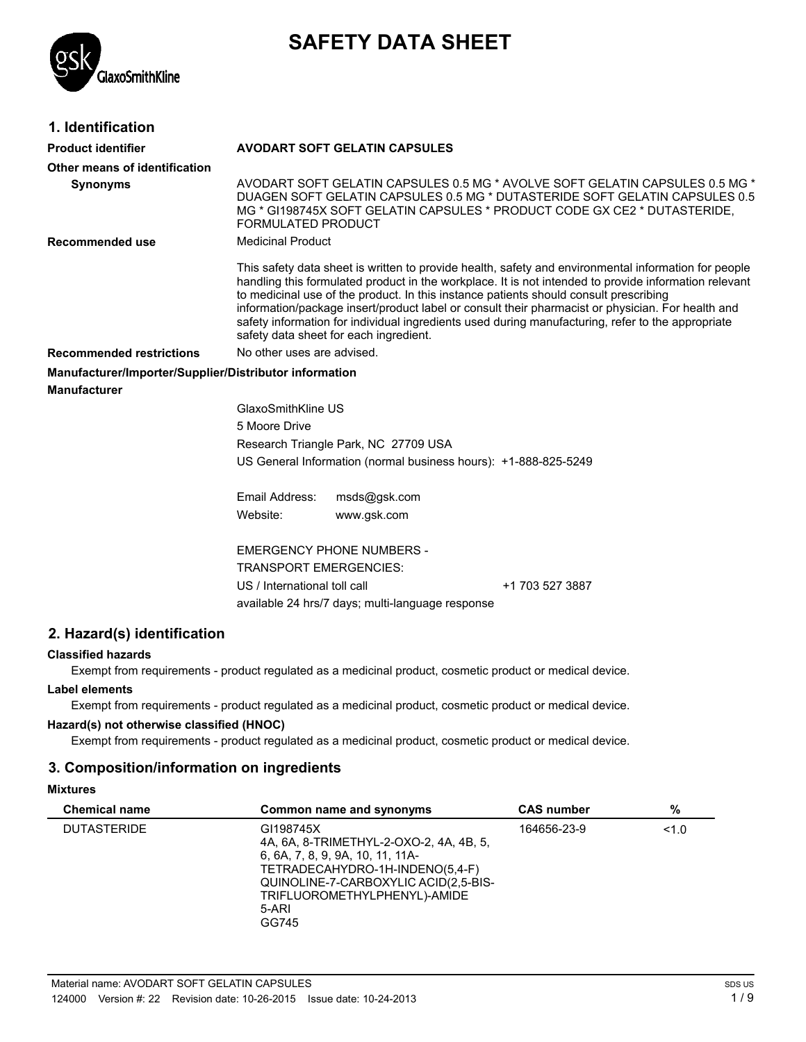

# **SAFETY DATA SHEET**

# **1. Identification**

| <b>Product identifier</b>                              | <b>AVODART SOFT GELATIN CAPSULES</b>                                                                                                                                                                                                                                                                                                                                                                                                                                                                                                                       |  |  |  |  |
|--------------------------------------------------------|------------------------------------------------------------------------------------------------------------------------------------------------------------------------------------------------------------------------------------------------------------------------------------------------------------------------------------------------------------------------------------------------------------------------------------------------------------------------------------------------------------------------------------------------------------|--|--|--|--|
| Other means of identification                          |                                                                                                                                                                                                                                                                                                                                                                                                                                                                                                                                                            |  |  |  |  |
| <b>Synonyms</b>                                        | AVODART SOFT GELATIN CAPSULES 0.5 MG * AVOLVE SOFT GELATIN CAPSULES 0.5 MG *<br>DUAGEN SOFT GELATIN CAPSULES 0.5 MG * DUTASTERIDE SOFT GELATIN CAPSULES 0.5<br>MG * GI198745X SOFT GELATIN CAPSULES * PRODUCT CODE GX CE2 * DUTASTERIDE,<br><b>FORMULATED PRODUCT</b>                                                                                                                                                                                                                                                                                      |  |  |  |  |
| Recommended use                                        | <b>Medicinal Product</b>                                                                                                                                                                                                                                                                                                                                                                                                                                                                                                                                   |  |  |  |  |
|                                                        | This safety data sheet is written to provide health, safety and environmental information for people<br>handling this formulated product in the workplace. It is not intended to provide information relevant<br>to medicinal use of the product. In this instance patients should consult prescribing<br>information/package insert/product label or consult their pharmacist or physician. For health and<br>safety information for individual ingredients used during manufacturing, refer to the appropriate<br>safety data sheet for each ingredient. |  |  |  |  |
| <b>Recommended restrictions</b>                        | No other uses are advised.                                                                                                                                                                                                                                                                                                                                                                                                                                                                                                                                 |  |  |  |  |
| Manufacturer/Importer/Supplier/Distributor information |                                                                                                                                                                                                                                                                                                                                                                                                                                                                                                                                                            |  |  |  |  |
| Manufacturer                                           |                                                                                                                                                                                                                                                                                                                                                                                                                                                                                                                                                            |  |  |  |  |
|                                                        | GlaxoSmithKline US                                                                                                                                                                                                                                                                                                                                                                                                                                                                                                                                         |  |  |  |  |
|                                                        | 5 Moore Drive                                                                                                                                                                                                                                                                                                                                                                                                                                                                                                                                              |  |  |  |  |
|                                                        | Research Triangle Park, NC 27709 USA                                                                                                                                                                                                                                                                                                                                                                                                                                                                                                                       |  |  |  |  |
|                                                        | US General Information (normal business hours): +1-888-825-5249                                                                                                                                                                                                                                                                                                                                                                                                                                                                                            |  |  |  |  |
|                                                        | Email Address:<br>msds@gsk.com                                                                                                                                                                                                                                                                                                                                                                                                                                                                                                                             |  |  |  |  |
|                                                        | Website:<br>www.gsk.com                                                                                                                                                                                                                                                                                                                                                                                                                                                                                                                                    |  |  |  |  |
|                                                        | <b>EMERGENCY PHONE NUMBERS -</b>                                                                                                                                                                                                                                                                                                                                                                                                                                                                                                                           |  |  |  |  |
|                                                        | <b>TRANSPORT EMERGENCIES:</b>                                                                                                                                                                                                                                                                                                                                                                                                                                                                                                                              |  |  |  |  |
|                                                        | US / International toll call<br>+1 703 527 3887                                                                                                                                                                                                                                                                                                                                                                                                                                                                                                            |  |  |  |  |
|                                                        | available 24 hrs/7 days; multi-language response                                                                                                                                                                                                                                                                                                                                                                                                                                                                                                           |  |  |  |  |
|                                                        |                                                                                                                                                                                                                                                                                                                                                                                                                                                                                                                                                            |  |  |  |  |

# **2. Hazard(s) identification**

# **Classified hazards**

Exempt from requirements - product regulated as a medicinal product, cosmetic product or medical device.

# **Label elements**

Exempt from requirements - product regulated as a medicinal product, cosmetic product or medical device.

# **Hazard(s) not otherwise classified (HNOC)**

Exempt from requirements - product regulated as a medicinal product, cosmetic product or medical device.

# **3. Composition/information on ingredients**

# **Mixtures**

| <b>Chemical name</b> | Common name and synonyms                                                                                                                                                                                              | <b>CAS number</b> | %     |
|----------------------|-----------------------------------------------------------------------------------------------------------------------------------------------------------------------------------------------------------------------|-------------------|-------|
| <b>DUTASTERIDE</b>   | GI198745X<br>4A, 6A, 8-TRIMETHYL-2-OXO-2, 4A, 4B, 5,<br>6, 6A, 7, 8, 9, 9A, 10, 11, 11A-<br>TETRADECAHYDRO-1H-INDENO(5,4-F)<br>QUINOLINE-7-CARBOXYLIC ACID(2,5-BIS-<br>TRIFLUOROMETHYLPHENYL)-AMIDE<br>5-ARI<br>GG745 | 164656-23-9       | < 1.0 |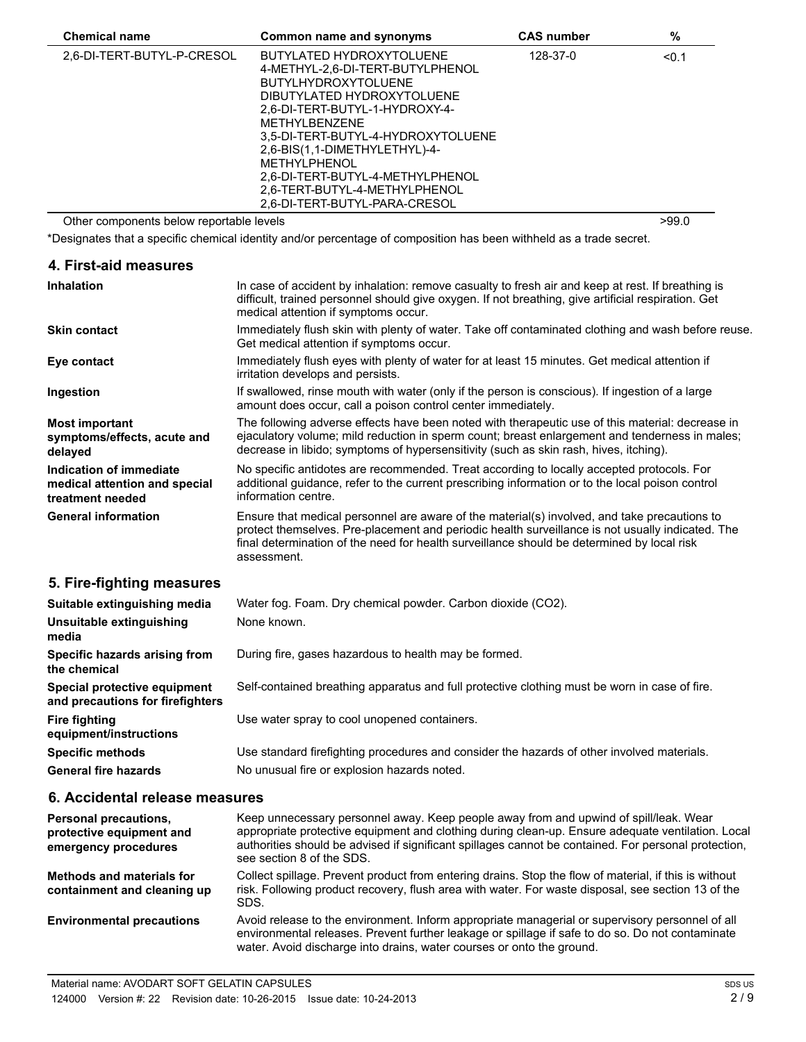| <b>Chemical name</b>                     | Common name and synonyms                                                                                                                                                                                                                                                                                                                                                               | <b>CAS number</b> | %     |  |
|------------------------------------------|----------------------------------------------------------------------------------------------------------------------------------------------------------------------------------------------------------------------------------------------------------------------------------------------------------------------------------------------------------------------------------------|-------------------|-------|--|
| 2.6-DI-TERT-BUTYL-P-CRESOL               | BUTYLATED HYDROXYTOLUENE<br>4-METHYL-2,6-DI-TERT-BUTYLPHENOL<br><b>BUTYLHYDROXYTOLUENE</b><br>DIBUTYLATED HYDROXYTOLUENE<br>2.6-DI-TERT-BUTYL-1-HYDROXY-4-<br><b>METHYLBENZENE</b><br>3.5-DI-TERT-BUTYL-4-HYDROXYTOLUENE<br>2,6-BIS(1,1-DIMETHYLETHYL)-4-<br><b>METHYLPHENOL</b><br>2.6-DI-TERT-BUTYL-4-METHYLPHENOL<br>2.6-TERT-BUTYL-4-METHYLPHENOL<br>2,6-DI-TERT-BUTYL-PARA-CRESOL | 128-37-0          | < 0.1 |  |
| Other components below reportable levels |                                                                                                                                                                                                                                                                                                                                                                                        |                   | >99.0 |  |

\*Designates that a specific chemical identity and/or percentage of composition has been withheld as a trade secret.

| 4. First-aid measures                                                        |                                                                                                                                                                                                                                                                                                               |
|------------------------------------------------------------------------------|---------------------------------------------------------------------------------------------------------------------------------------------------------------------------------------------------------------------------------------------------------------------------------------------------------------|
| Inhalation                                                                   | In case of accident by inhalation: remove casualty to fresh air and keep at rest. If breathing is<br>difficult, trained personnel should give oxygen. If not breathing, give artificial respiration. Get<br>medical attention if symptoms occur.                                                              |
| <b>Skin contact</b>                                                          | Immediately flush skin with plenty of water. Take off contaminated clothing and wash before reuse.<br>Get medical attention if symptoms occur.                                                                                                                                                                |
| Eye contact                                                                  | Immediately flush eyes with plenty of water for at least 15 minutes. Get medical attention if<br>irritation develops and persists.                                                                                                                                                                            |
| Ingestion                                                                    | If swallowed, rinse mouth with water (only if the person is conscious). If ingestion of a large<br>amount does occur, call a poison control center immediately.                                                                                                                                               |
| <b>Most important</b><br>symptoms/effects, acute and<br>delayed              | The following adverse effects have been noted with therapeutic use of this material: decrease in<br>ejaculatory volume; mild reduction in sperm count; breast enlargement and tenderness in males;<br>decrease in libido; symptoms of hypersensitivity (such as skin rash, hives, itching).                   |
| Indication of immediate<br>medical attention and special<br>treatment needed | No specific antidotes are recommended. Treat according to locally accepted protocols. For<br>additional guidance, refer to the current prescribing information or to the local poison control<br>information centre.                                                                                          |
| <b>General information</b>                                                   | Ensure that medical personnel are aware of the material(s) involved, and take precautions to<br>protect themselves. Pre-placement and periodic health surveillance is not usually indicated. The<br>final determination of the need for health surveillance should be determined by local risk<br>assessment. |
| 5. Fire-fighting measures                                                    |                                                                                                                                                                                                                                                                                                               |
| Suitable extinguishing media                                                 | Water fog. Foam. Dry chemical powder. Carbon dioxide (CO2).                                                                                                                                                                                                                                                   |
| Unsuitable extinguishing<br>media                                            | None known.                                                                                                                                                                                                                                                                                                   |
| Specific hazards arising from<br>the chemical                                | During fire, gases hazardous to health may be formed.                                                                                                                                                                                                                                                         |

**Special protective equipment** Self-contained breathing apparatus and full protective clothing must be worn in case of fire. **and precautions for firefighters Fire fighting** Use water spray to cool unopened containers. **equipment/instructions Specific methods** Use standard firefighting procedures and consider the hazards of other involved materials. **General fire hazards** No unusual fire or explosion hazards noted.

# **6. Accidental release measures**

Keep unnecessary personnel away. Keep people away from and upwind of spill/leak. Wear appropriate protective equipment and clothing during clean-up. Ensure adequate ventilation. Local authorities should be advised if significant spillages cannot be contained. For personal protection, see section 8 of the SDS. **Personal precautions, protective equipment and emergency procedures** Collect spillage. Prevent product from entering drains. Stop the flow of material, if this is without risk. Following product recovery, flush area with water. For waste disposal, see section 13 of the SDS. **Methods and materials for containment and cleaning up** Avoid release to the environment. Inform appropriate managerial or supervisory personnel of all environmental releases. Prevent further leakage or spillage if safe to do so. Do not contaminate water. Avoid discharge into drains, water courses or onto the ground. **Environmental precautions**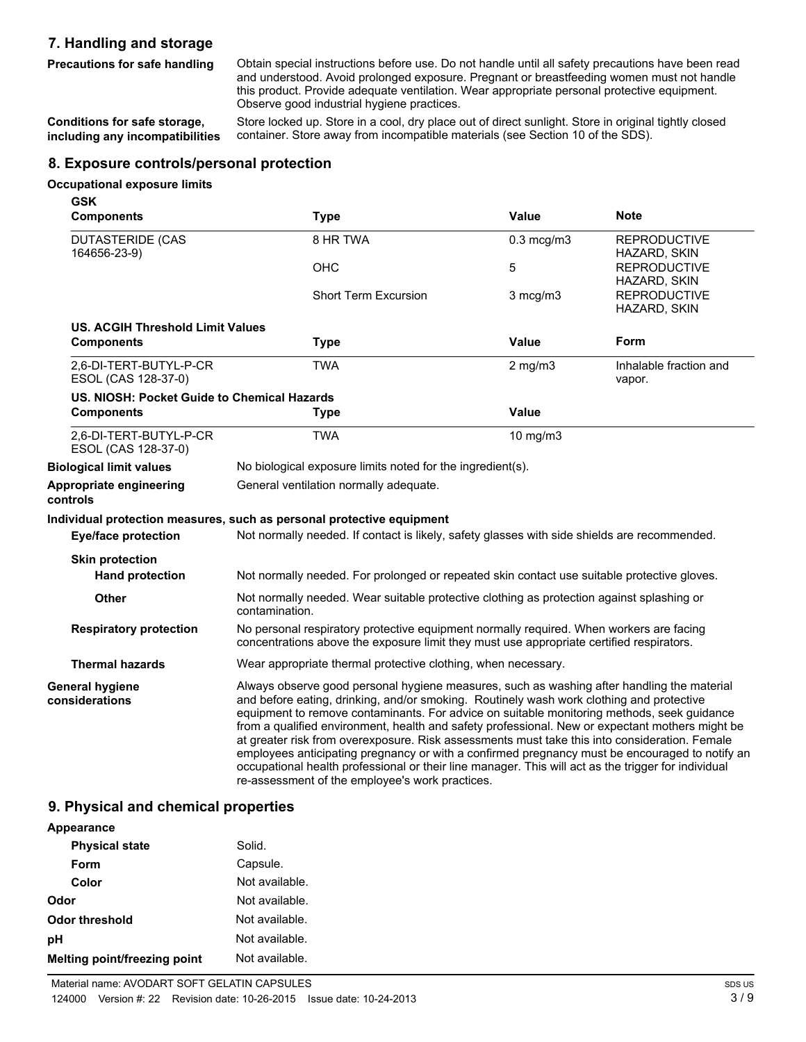# **7. Handling and storage**

**Precautions for safe handling**

Obtain special instructions before use. Do not handle until all safety precautions have been read and understood. Avoid prolonged exposure. Pregnant or breastfeeding women must not handle this product. Provide adequate ventilation. Wear appropriate personal protective equipment. Observe good industrial hygiene practices.

Store locked up. Store in a cool, dry place out of direct sunlight. Store in original tightly closed container. Store away from incompatible materials (see Section 10 of the SDS). **Conditions for safe storage, including any incompatibilities**

# **8. Exposure controls/personal protection**

#### **Occupational exposure limits**

| <b>GSK</b>                                    |                                                                                                                                                                                     |                                                                                                                                                                                                                                                                                                                                                                                                                                                                                                                                                                                                                                                                                                   |                                     |  |
|-----------------------------------------------|-------------------------------------------------------------------------------------------------------------------------------------------------------------------------------------|---------------------------------------------------------------------------------------------------------------------------------------------------------------------------------------------------------------------------------------------------------------------------------------------------------------------------------------------------------------------------------------------------------------------------------------------------------------------------------------------------------------------------------------------------------------------------------------------------------------------------------------------------------------------------------------------------|-------------------------------------|--|
| <b>Components</b>                             | <b>Type</b>                                                                                                                                                                         | <b>Value</b>                                                                                                                                                                                                                                                                                                                                                                                                                                                                                                                                                                                                                                                                                      | <b>Note</b>                         |  |
| <b>DUTASTERIDE (CAS</b><br>164656-23-9)       | 8 HR TWA                                                                                                                                                                            | $0.3 \text{ mcg/m3}$                                                                                                                                                                                                                                                                                                                                                                                                                                                                                                                                                                                                                                                                              | <b>REPRODUCTIVE</b><br>HAZARD, SKIN |  |
|                                               | <b>OHC</b>                                                                                                                                                                          | 5                                                                                                                                                                                                                                                                                                                                                                                                                                                                                                                                                                                                                                                                                                 | <b>REPRODUCTIVE</b><br>HAZARD, SKIN |  |
|                                               | <b>Short Term Excursion</b>                                                                                                                                                         | 3 mcg/m3                                                                                                                                                                                                                                                                                                                                                                                                                                                                                                                                                                                                                                                                                          | <b>REPRODUCTIVE</b><br>HAZARD, SKIN |  |
| <b>US. ACGIH Threshold Limit Values</b>       |                                                                                                                                                                                     |                                                                                                                                                                                                                                                                                                                                                                                                                                                                                                                                                                                                                                                                                                   |                                     |  |
| <b>Components</b>                             | <b>Type</b>                                                                                                                                                                         | <b>Value</b>                                                                                                                                                                                                                                                                                                                                                                                                                                                                                                                                                                                                                                                                                      | Form                                |  |
| 2,6-DI-TERT-BUTYL-P-CR<br>ESOL (CAS 128-37-0) | <b>TWA</b>                                                                                                                                                                          | $2$ mg/m $3$                                                                                                                                                                                                                                                                                                                                                                                                                                                                                                                                                                                                                                                                                      | Inhalable fraction and<br>vapor.    |  |
| US. NIOSH: Pocket Guide to Chemical Hazards   |                                                                                                                                                                                     |                                                                                                                                                                                                                                                                                                                                                                                                                                                                                                                                                                                                                                                                                                   |                                     |  |
| <b>Components</b>                             | <b>Type</b>                                                                                                                                                                         | <b>Value</b>                                                                                                                                                                                                                                                                                                                                                                                                                                                                                                                                                                                                                                                                                      |                                     |  |
| 2,6-DI-TERT-BUTYL-P-CR<br>ESOL (CAS 128-37-0) | <b>TWA</b>                                                                                                                                                                          | 10 mg/m3                                                                                                                                                                                                                                                                                                                                                                                                                                                                                                                                                                                                                                                                                          |                                     |  |
| <b>Biological limit values</b>                | No biological exposure limits noted for the ingredient(s).                                                                                                                          |                                                                                                                                                                                                                                                                                                                                                                                                                                                                                                                                                                                                                                                                                                   |                                     |  |
| Appropriate engineering<br>controls           | General ventilation normally adequate.                                                                                                                                              |                                                                                                                                                                                                                                                                                                                                                                                                                                                                                                                                                                                                                                                                                                   |                                     |  |
|                                               | Individual protection measures, such as personal protective equipment                                                                                                               |                                                                                                                                                                                                                                                                                                                                                                                                                                                                                                                                                                                                                                                                                                   |                                     |  |
| <b>Eye/face protection</b>                    | Not normally needed. If contact is likely, safety glasses with side shields are recommended.                                                                                        |                                                                                                                                                                                                                                                                                                                                                                                                                                                                                                                                                                                                                                                                                                   |                                     |  |
| <b>Skin protection</b>                        |                                                                                                                                                                                     |                                                                                                                                                                                                                                                                                                                                                                                                                                                                                                                                                                                                                                                                                                   |                                     |  |
| <b>Hand protection</b>                        | Not normally needed. For prolonged or repeated skin contact use suitable protective gloves.                                                                                         |                                                                                                                                                                                                                                                                                                                                                                                                                                                                                                                                                                                                                                                                                                   |                                     |  |
| <b>Other</b>                                  | Not normally needed. Wear suitable protective clothing as protection against splashing or<br>contamination.                                                                         |                                                                                                                                                                                                                                                                                                                                                                                                                                                                                                                                                                                                                                                                                                   |                                     |  |
| <b>Respiratory protection</b>                 | No personal respiratory protective equipment normally required. When workers are facing<br>concentrations above the exposure limit they must use appropriate certified respirators. |                                                                                                                                                                                                                                                                                                                                                                                                                                                                                                                                                                                                                                                                                                   |                                     |  |
| <b>Thermal hazards</b>                        | Wear appropriate thermal protective clothing, when necessary.                                                                                                                       |                                                                                                                                                                                                                                                                                                                                                                                                                                                                                                                                                                                                                                                                                                   |                                     |  |
| <b>General hygiene</b><br>considerations      | re-assessment of the employee's work practices.                                                                                                                                     | Always observe good personal hygiene measures, such as washing after handling the material<br>and before eating, drinking, and/or smoking. Routinely wash work clothing and protective<br>equipment to remove contaminants. For advice on suitable monitoring methods, seek guidance<br>from a qualified environment, health and safety professional. New or expectant mothers might be<br>at greater risk from overexposure. Risk assessments must take this into consideration. Female<br>employees anticipating pregnancy or with a confirmed pregnancy must be encouraged to notify an<br>occupational health professional or their line manager. This will act as the trigger for individual |                                     |  |

# **9. Physical and chemical properties**

| Appearance                          |                |
|-------------------------------------|----------------|
| <b>Physical state</b>               | Solid.         |
| Form                                | Capsule.       |
| Color                               | Not available. |
| Odor                                | Not available. |
| Odor threshold                      | Not available. |
| pH                                  | Not available. |
| <b>Melting point/freezing point</b> | Not available. |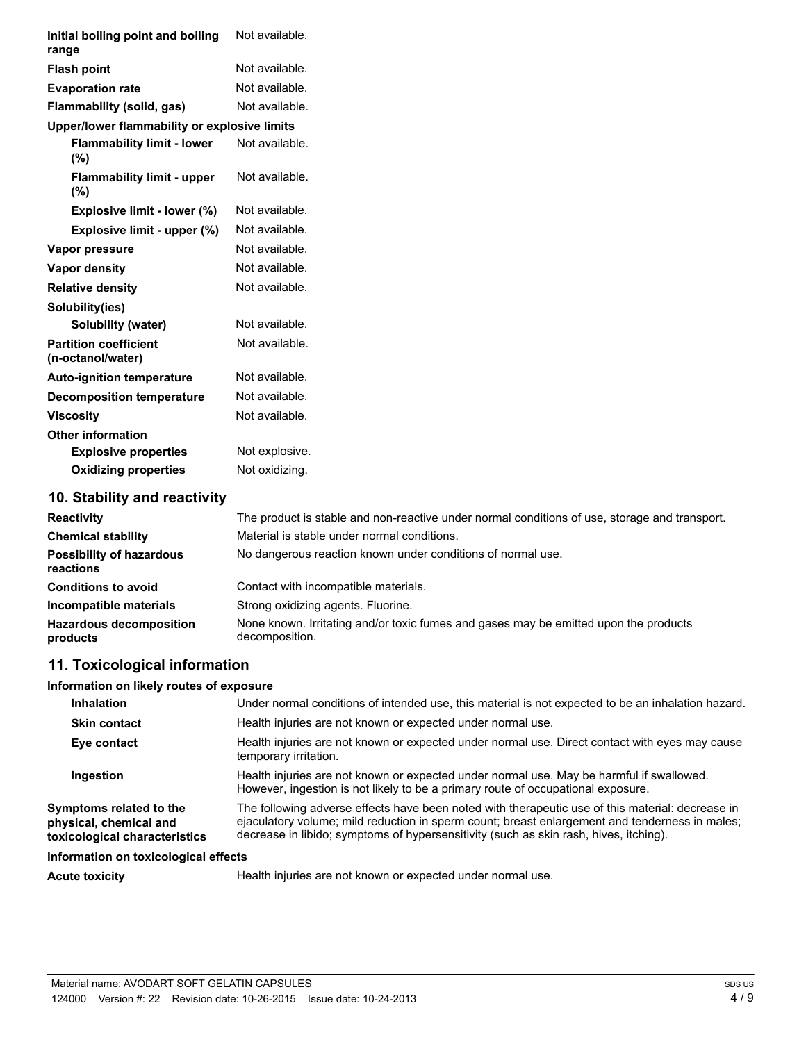| Initial boiling point and boiling<br>range        | Not available.                                                                                |
|---------------------------------------------------|-----------------------------------------------------------------------------------------------|
| <b>Flash point</b>                                | Not available.                                                                                |
| <b>Evaporation rate</b>                           | Not available.                                                                                |
| Flammability (solid, gas)                         | Not available.                                                                                |
| Upper/lower flammability or explosive limits      |                                                                                               |
| <b>Flammability limit - lower</b><br>(%)          | Not available.                                                                                |
| <b>Flammability limit - upper</b><br>(%)          | Not available.                                                                                |
| Explosive limit - lower (%)                       | Not available.                                                                                |
| Explosive limit - upper (%)                       | Not available.                                                                                |
| Vapor pressure                                    | Not available.                                                                                |
| Vapor density                                     | Not available.                                                                                |
| <b>Relative density</b>                           | Not available.                                                                                |
| Solubility(ies)                                   |                                                                                               |
| Solubility (water)                                | Not available.                                                                                |
| <b>Partition coefficient</b><br>(n-octanol/water) | Not available.                                                                                |
| <b>Auto-ignition temperature</b>                  | Not available.                                                                                |
| <b>Decomposition temperature</b>                  | Not available.                                                                                |
| <b>Viscosity</b>                                  | Not available.                                                                                |
| <b>Other information</b>                          |                                                                                               |
| <b>Explosive properties</b>                       | Not explosive.                                                                                |
| <b>Oxidizing properties</b>                       | Not oxidizing.                                                                                |
| 10. Stability and reactivity                      |                                                                                               |
| <b>Reactivity</b>                                 | The product is stable and non-reactive under normal conditions of use, storage and transport. |
| <b>Chemical stability</b>                         | Material is stable under normal conditions.                                                   |
| <b>Possibility of hazardous</b><br>reactions      | No dangerous reaction known under conditions of normal use.                                   |
| <b>Conditions to avoid</b>                        | Contact with incompatible materials.                                                          |
| Incompatible materials                            | Strong oxidizing agents. Fluorine.                                                            |

# **11. Toxicological information**

**Hazardous decomposition**

**products**

#### **Information on likely routes of exposure**

| <b>Inhalation</b>                                                                  | Under normal conditions of intended use, this material is not expected to be an inhalation hazard.                                                                                                                                                                                          |
|------------------------------------------------------------------------------------|---------------------------------------------------------------------------------------------------------------------------------------------------------------------------------------------------------------------------------------------------------------------------------------------|
| <b>Skin contact</b>                                                                | Health injuries are not known or expected under normal use.                                                                                                                                                                                                                                 |
| Eye contact                                                                        | Health injuries are not known or expected under normal use. Direct contact with eyes may cause<br>temporary irritation.                                                                                                                                                                     |
| Ingestion                                                                          | Health injuries are not known or expected under normal use. May be harmful if swallowed.<br>However, ingestion is not likely to be a primary route of occupational exposure.                                                                                                                |
| Symptoms related to the<br>physical, chemical and<br>toxicological characteristics | The following adverse effects have been noted with therapeutic use of this material: decrease in<br>ejaculatory volume; mild reduction in sperm count; breast enlargement and tenderness in males;<br>decrease in libido; symptoms of hypersensitivity (such as skin rash, hives, itching). |
| Information on toxicological effects                                               |                                                                                                                                                                                                                                                                                             |
|                                                                                    |                                                                                                                                                                                                                                                                                             |

None known. Irritating and/or toxic fumes and gases may be emitted upon the products

Acute toxicity **Acute toxicity** Health injuries are not known or expected under normal use.

decomposition.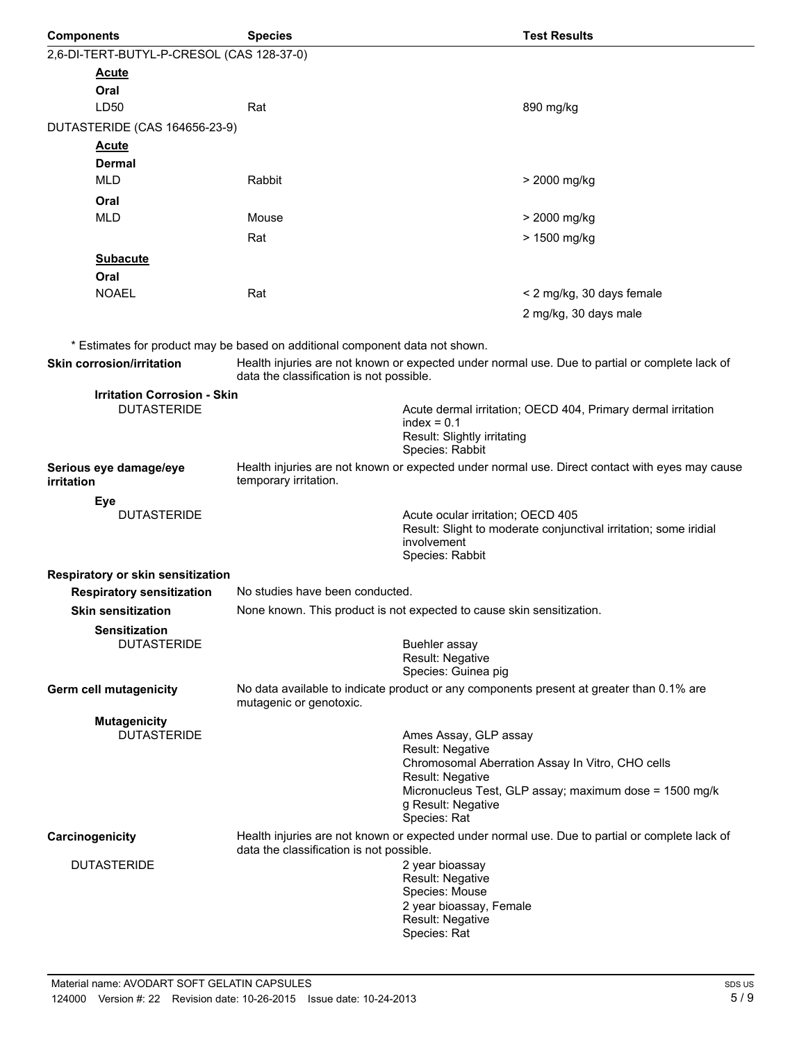| <b>Components</b>                         | <b>Species</b>                                                                                                          | <b>Test Results</b>                                                                                                                     |  |  |
|-------------------------------------------|-------------------------------------------------------------------------------------------------------------------------|-----------------------------------------------------------------------------------------------------------------------------------------|--|--|
| 2,6-DI-TERT-BUTYL-P-CRESOL (CAS 128-37-0) |                                                                                                                         |                                                                                                                                         |  |  |
| <u>Acute</u>                              |                                                                                                                         |                                                                                                                                         |  |  |
| Oral                                      |                                                                                                                         |                                                                                                                                         |  |  |
| LD50                                      | Rat                                                                                                                     | 890 mg/kg                                                                                                                               |  |  |
| DUTASTERIDE (CAS 164656-23-9)             |                                                                                                                         |                                                                                                                                         |  |  |
| <u>Acute</u>                              |                                                                                                                         |                                                                                                                                         |  |  |
| <b>Dermal</b>                             |                                                                                                                         |                                                                                                                                         |  |  |
| <b>MLD</b>                                | Rabbit                                                                                                                  | > 2000 mg/kg                                                                                                                            |  |  |
| Oral                                      |                                                                                                                         |                                                                                                                                         |  |  |
| <b>MLD</b>                                | Mouse                                                                                                                   | > 2000 mg/kg                                                                                                                            |  |  |
|                                           | Rat                                                                                                                     | > 1500 mg/kg                                                                                                                            |  |  |
| <b>Subacute</b>                           |                                                                                                                         |                                                                                                                                         |  |  |
| Oral                                      |                                                                                                                         |                                                                                                                                         |  |  |
| <b>NOAEL</b>                              | Rat                                                                                                                     | < 2 mg/kg, 30 days female                                                                                                               |  |  |
|                                           |                                                                                                                         | 2 mg/kg, 30 days male                                                                                                                   |  |  |
|                                           |                                                                                                                         |                                                                                                                                         |  |  |
|                                           | * Estimates for product may be based on additional component data not shown.                                            |                                                                                                                                         |  |  |
| <b>Skin corrosion/irritation</b>          | data the classification is not possible.                                                                                | Health injuries are not known or expected under normal use. Due to partial or complete lack of                                          |  |  |
| <b>Irritation Corrosion - Skin</b>        |                                                                                                                         |                                                                                                                                         |  |  |
| <b>DUTASTERIDE</b>                        |                                                                                                                         | Acute dermal irritation; OECD 404, Primary dermal irritation<br>$index = 0.1$<br>Result: Slightly irritating<br>Species: Rabbit         |  |  |
| Serious eye damage/eye<br>irritation      | Health injuries are not known or expected under normal use. Direct contact with eyes may cause<br>temporary irritation. |                                                                                                                                         |  |  |
| Eye                                       |                                                                                                                         |                                                                                                                                         |  |  |
| <b>DUTASTERIDE</b>                        |                                                                                                                         | Acute ocular irritation; OECD 405<br>Result: Slight to moderate conjunctival irritation; some iridial<br>involvement<br>Species: Rabbit |  |  |
| Respiratory or skin sensitization         |                                                                                                                         |                                                                                                                                         |  |  |
| <b>Respiratory sensitization</b>          | No studies have been conducted.                                                                                         |                                                                                                                                         |  |  |
| <b>Skin sensitization</b>                 |                                                                                                                         | None known. This product is not expected to cause skin sensitization.                                                                   |  |  |
| <b>Sensitization</b>                      |                                                                                                                         |                                                                                                                                         |  |  |
| <b>DUTASTERIDE</b>                        |                                                                                                                         | Buehler assay<br>Result: Negative<br>Species: Guinea pig                                                                                |  |  |
| <b>Germ cell mutagenicity</b>             | mutagenic or genotoxic.                                                                                                 | No data available to indicate product or any components present at greater than 0.1% are                                                |  |  |
| <b>Mutagenicity</b>                       |                                                                                                                         |                                                                                                                                         |  |  |
| <b>DUTASTERIDE</b>                        |                                                                                                                         | Ames Assay, GLP assay                                                                                                                   |  |  |
|                                           |                                                                                                                         | Result: Negative<br>Chromosomal Aberration Assay In Vitro, CHO cells<br>Result: Negative                                                |  |  |
|                                           |                                                                                                                         | Micronucleus Test, GLP assay; maximum dose = 1500 mg/k<br>g Result: Negative<br>Species: Rat                                            |  |  |
| Carcinogenicity                           | data the classification is not possible.                                                                                | Health injuries are not known or expected under normal use. Due to partial or complete lack of                                          |  |  |
| <b>DUTASTERIDE</b>                        |                                                                                                                         | 2 year bioassay<br>Result: Negative<br>Species: Mouse<br>2 year bioassay, Female<br>Result: Negative<br>Species: Rat                    |  |  |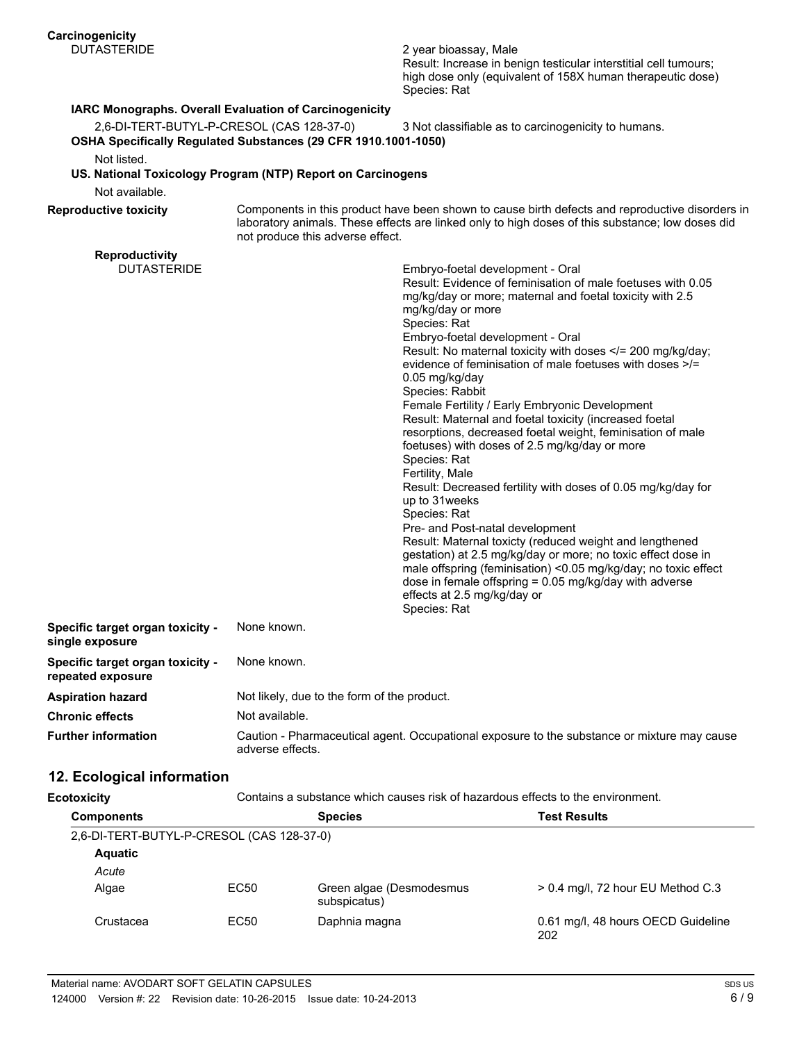2 year bioassay, Male Result: Increase in benign testicular interstitial cell tumours; high dose only (equivalent of 158X human therapeutic dose) Species: Rat

# **IARC Monographs. Overall Evaluation of Carcinogenicity**

2,6-DI-TERT-BUTYL-P-CRESOL (CAS 128-37-0) 3 Not classifiable as to carcinogenicity to humans. **OSHA Specifically Regulated Substances (29 CFR 1910.1001-1050)**

Not listed.

**US. National Toxicology Program (NTP) Report on Carcinogens**

Not available.

**Reproductivity**

**Reproductive toxicity**

Components in this product have been shown to cause birth defects and reproductive disorders in laboratory animals. These effects are linked only to high doses of this substance; low doses did not produce this adverse effect.

| Reproductivity                                               |                                                                                                                                                                                                                                                                                                                                                                                                                                                                                                                                                                                                                                                                                                                                                                                                                                                                                                                                                                                                                                                                                                              |
|--------------------------------------------------------------|--------------------------------------------------------------------------------------------------------------------------------------------------------------------------------------------------------------------------------------------------------------------------------------------------------------------------------------------------------------------------------------------------------------------------------------------------------------------------------------------------------------------------------------------------------------------------------------------------------------------------------------------------------------------------------------------------------------------------------------------------------------------------------------------------------------------------------------------------------------------------------------------------------------------------------------------------------------------------------------------------------------------------------------------------------------------------------------------------------------|
| <b>DUTASTERIDE</b>                                           | Embryo-foetal development - Oral<br>Result: Evidence of feminisation of male foetuses with 0.05<br>mg/kg/day or more; maternal and foetal toxicity with 2.5<br>mg/kg/day or more<br>Species: Rat<br>Embryo-foetal development - Oral<br>Result: No maternal toxicity with doses = 200 mg/kg/day;<br evidence of feminisation of male foetuses with doses >/=<br>0.05 mg/kg/day<br>Species: Rabbit<br>Female Fertility / Early Embryonic Development<br>Result: Maternal and foetal toxicity (increased foetal<br>resorptions, decreased foetal weight, feminisation of male<br>foetuses) with doses of 2.5 mg/kg/day or more<br>Species: Rat<br>Fertility, Male<br>Result: Decreased fertility with doses of 0.05 mg/kg/day for<br>up to 31 weeks<br>Species: Rat<br>Pre- and Post-natal development<br>Result: Maternal toxicty (reduced weight and lengthened<br>gestation) at 2.5 mg/kg/day or more; no toxic effect dose in<br>male offspring (feminisation) <0.05 mg/kg/day; no toxic effect<br>dose in female offspring = $0.05$ mg/kg/day with adverse<br>effects at 2.5 mg/kg/day or<br>Species: Rat |
| Specific target organ toxicity -<br>single exposure          | None known.                                                                                                                                                                                                                                                                                                                                                                                                                                                                                                                                                                                                                                                                                                                                                                                                                                                                                                                                                                                                                                                                                                  |
| <b>Specific target organ toxicity -</b><br>repeated exposure | None known.                                                                                                                                                                                                                                                                                                                                                                                                                                                                                                                                                                                                                                                                                                                                                                                                                                                                                                                                                                                                                                                                                                  |
| Aspiration hazard                                            | Not likely, due to the form of the product.                                                                                                                                                                                                                                                                                                                                                                                                                                                                                                                                                                                                                                                                                                                                                                                                                                                                                                                                                                                                                                                                  |
| <b>Chronic effects</b>                                       | Not available.                                                                                                                                                                                                                                                                                                                                                                                                                                                                                                                                                                                                                                                                                                                                                                                                                                                                                                                                                                                                                                                                                               |
| <b>Further information</b>                                   | Caution - Pharmaceutical agent. Occupational exposure to the substance or mixture may cause<br>adverse effects.                                                                                                                                                                                                                                                                                                                                                                                                                                                                                                                                                                                                                                                                                                                                                                                                                                                                                                                                                                                              |

# **12. Ecological information**

**Ecotoxicity** Contains a substance which causes risk of hazardous effects to the environment.

| <b>Components</b> |                                           | <b>Species</b>                           | <b>Test Results</b>                       |  |  |
|-------------------|-------------------------------------------|------------------------------------------|-------------------------------------------|--|--|
|                   | 2,6-DI-TERT-BUTYL-P-CRESOL (CAS 128-37-0) |                                          |                                           |  |  |
| <b>Aquatic</b>    |                                           |                                          |                                           |  |  |
| Acute             |                                           |                                          |                                           |  |  |
| Algae             | EC50                                      | Green algae (Desmodesmus<br>subspicatus) | $> 0.4$ mg/l, 72 hour EU Method C.3       |  |  |
| Crustacea         | EC50                                      | Daphnia magna                            | 0.61 mg/l, 48 hours OECD Guideline<br>202 |  |  |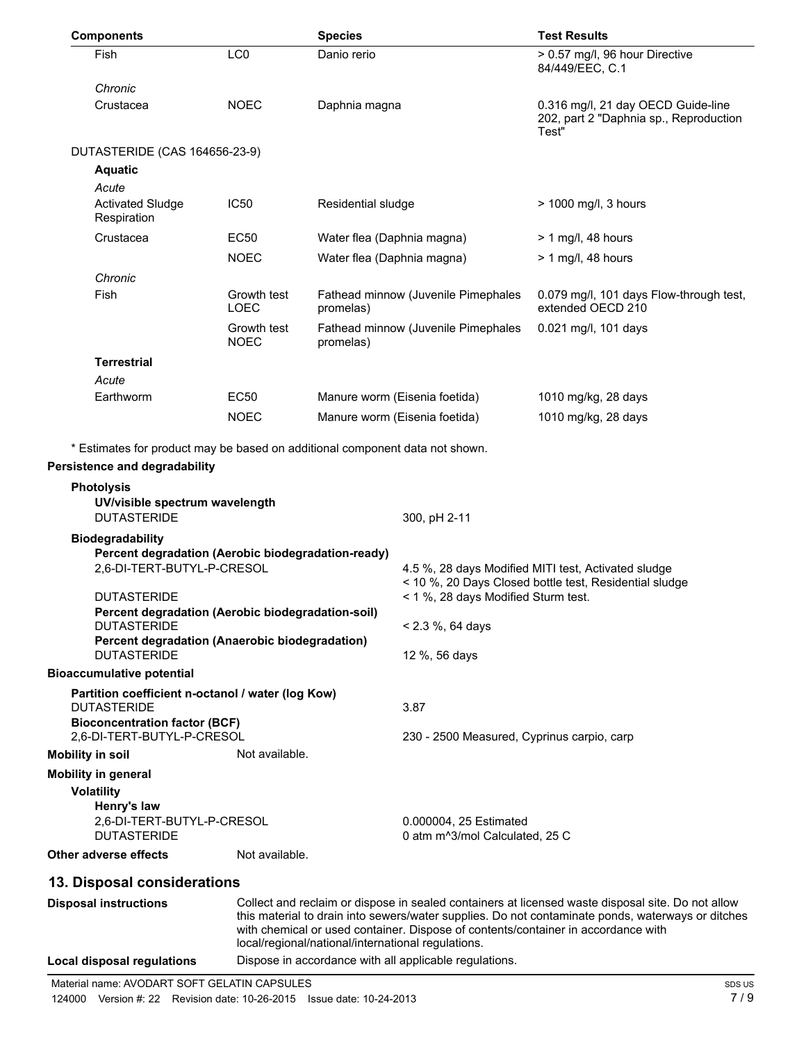| <b>Components</b>                                                                                                                                                                                                                            |                                                                                                                         | <b>Species</b>             |                                                                      | <b>Test Results</b>                                                                                           |  |
|----------------------------------------------------------------------------------------------------------------------------------------------------------------------------------------------------------------------------------------------|-------------------------------------------------------------------------------------------------------------------------|----------------------------|----------------------------------------------------------------------|---------------------------------------------------------------------------------------------------------------|--|
| Fish                                                                                                                                                                                                                                         | LC <sub>0</sub>                                                                                                         | Danio rerio                |                                                                      | > 0.57 mg/l, 96 hour Directive<br>84/449/EEC, C.1                                                             |  |
| Chronic<br>Crustacea                                                                                                                                                                                                                         | <b>NOEC</b>                                                                                                             | Daphnia magna              |                                                                      | 0.316 mg/l, 21 day OECD Guide-line<br>202, part 2 "Daphnia sp., Reproduction                                  |  |
|                                                                                                                                                                                                                                              |                                                                                                                         |                            |                                                                      | Test"                                                                                                         |  |
| DUTASTERIDE (CAS 164656-23-9)                                                                                                                                                                                                                |                                                                                                                         |                            |                                                                      |                                                                                                               |  |
| <b>Aquatic</b>                                                                                                                                                                                                                               |                                                                                                                         |                            |                                                                      |                                                                                                               |  |
| Acute<br><b>Activated Sludge</b><br>Respiration                                                                                                                                                                                              | <b>IC50</b>                                                                                                             | Residential sludge         |                                                                      | > 1000 mg/l, 3 hours                                                                                          |  |
| Crustacea                                                                                                                                                                                                                                    | <b>EC50</b>                                                                                                             | Water flea (Daphnia magna) |                                                                      | $> 1$ mg/l, 48 hours                                                                                          |  |
|                                                                                                                                                                                                                                              | <b>NOEC</b>                                                                                                             | Water flea (Daphnia magna) |                                                                      | $> 1$ mg/l, 48 hours                                                                                          |  |
| Chronic                                                                                                                                                                                                                                      |                                                                                                                         |                            |                                                                      |                                                                                                               |  |
| Fish                                                                                                                                                                                                                                         | Growth test<br>LOEC                                                                                                     | promelas)                  | Fathead minnow (Juvenile Pimephales                                  | 0.079 mg/l, 101 days Flow-through test,<br>extended OECD 210                                                  |  |
|                                                                                                                                                                                                                                              | Growth test<br><b>NOEC</b>                                                                                              | promelas)                  | Fathead minnow (Juvenile Pimephales                                  | 0.021 mg/l, 101 days                                                                                          |  |
| <b>Terrestrial</b>                                                                                                                                                                                                                           |                                                                                                                         |                            |                                                                      |                                                                                                               |  |
| Acute                                                                                                                                                                                                                                        |                                                                                                                         |                            |                                                                      |                                                                                                               |  |
| Earthworm                                                                                                                                                                                                                                    | <b>EC50</b>                                                                                                             |                            | Manure worm (Eisenia foetida)                                        | 1010 mg/kg, 28 days                                                                                           |  |
|                                                                                                                                                                                                                                              | <b>NOEC</b>                                                                                                             |                            | Manure worm (Eisenia foetida)                                        | 1010 mg/kg, 28 days                                                                                           |  |
| * Estimates for product may be based on additional component data not shown.                                                                                                                                                                 |                                                                                                                         |                            |                                                                      |                                                                                                               |  |
| <b>Persistence and degradability</b>                                                                                                                                                                                                         |                                                                                                                         |                            |                                                                      |                                                                                                               |  |
| <b>Photolysis</b>                                                                                                                                                                                                                            |                                                                                                                         |                            |                                                                      |                                                                                                               |  |
| UV/visible spectrum wavelength<br><b>DUTASTERIDE</b>                                                                                                                                                                                         |                                                                                                                         |                            | 300, pH 2-11                                                         |                                                                                                               |  |
| <b>Biodegradability</b>                                                                                                                                                                                                                      |                                                                                                                         |                            |                                                                      |                                                                                                               |  |
| Percent degradation (Aerobic biodegradation-ready)                                                                                                                                                                                           |                                                                                                                         |                            |                                                                      |                                                                                                               |  |
| 2,6-DI-TERT-BUTYL-P-CRESOL                                                                                                                                                                                                                   |                                                                                                                         |                            |                                                                      | 4.5 %, 28 days Modified MITI test, Activated sludge<br>< 10 %, 20 Days Closed bottle test, Residential sludge |  |
| <b>DUTASTERIDE</b>                                                                                                                                                                                                                           |                                                                                                                         |                            | < 1 %, 28 days Modified Sturm test.                                  |                                                                                                               |  |
| Percent degradation (Aerobic biodegradation-soil)<br><b>DUTASTERIDE</b>                                                                                                                                                                      |                                                                                                                         |                            | $< 2.3 %$ , 64 days<br>12 %, 56 days                                 |                                                                                                               |  |
| Percent degradation (Anaerobic biodegradation)<br><b>DUTASTERIDE</b>                                                                                                                                                                         |                                                                                                                         |                            |                                                                      |                                                                                                               |  |
| Bioaccumulative potential                                                                                                                                                                                                                    |                                                                                                                         |                            |                                                                      |                                                                                                               |  |
| <b>DUTASTERIDE</b>                                                                                                                                                                                                                           | Partition coefficient n-octanol / water (log Kow)<br><b>Bioconcentration factor (BCF)</b><br>2,6-DI-TERT-BUTYL-P-CRESOL |                            | 3.87                                                                 |                                                                                                               |  |
|                                                                                                                                                                                                                                              |                                                                                                                         |                            | 230 - 2500 Measured, Cyprinus carpio, carp                           |                                                                                                               |  |
| <b>Mobility in soil</b>                                                                                                                                                                                                                      | Not available.                                                                                                          |                            |                                                                      |                                                                                                               |  |
| Mobility in general                                                                                                                                                                                                                          |                                                                                                                         |                            |                                                                      |                                                                                                               |  |
| <b>Volatility</b>                                                                                                                                                                                                                            |                                                                                                                         |                            |                                                                      |                                                                                                               |  |
| Henry's law<br>2,6-DI-TERT-BUTYL-P-CRESOL<br><b>DUTASTERIDE</b>                                                                                                                                                                              |                                                                                                                         |                            | 0.000004, 25 Estimated<br>0 atm m <sup>3</sup> /mol Calculated, 25 C |                                                                                                               |  |
| Other adverse effects                                                                                                                                                                                                                        | Not available.                                                                                                          |                            |                                                                      |                                                                                                               |  |
| 13. Disposal considerations                                                                                                                                                                                                                  |                                                                                                                         |                            |                                                                      |                                                                                                               |  |
| <b>Disposal instructions</b>                                                                                                                                                                                                                 |                                                                                                                         |                            |                                                                      | Collect and reclaim or dispose in sealed containers at licensed waste disposal site. Do not allow             |  |
| this material to drain into sewers/water supplies. Do not contaminate ponds, waterways or ditches<br>with chemical or used container. Dispose of contents/container in accordance with<br>local/regional/national/international regulations. |                                                                                                                         |                            |                                                                      |                                                                                                               |  |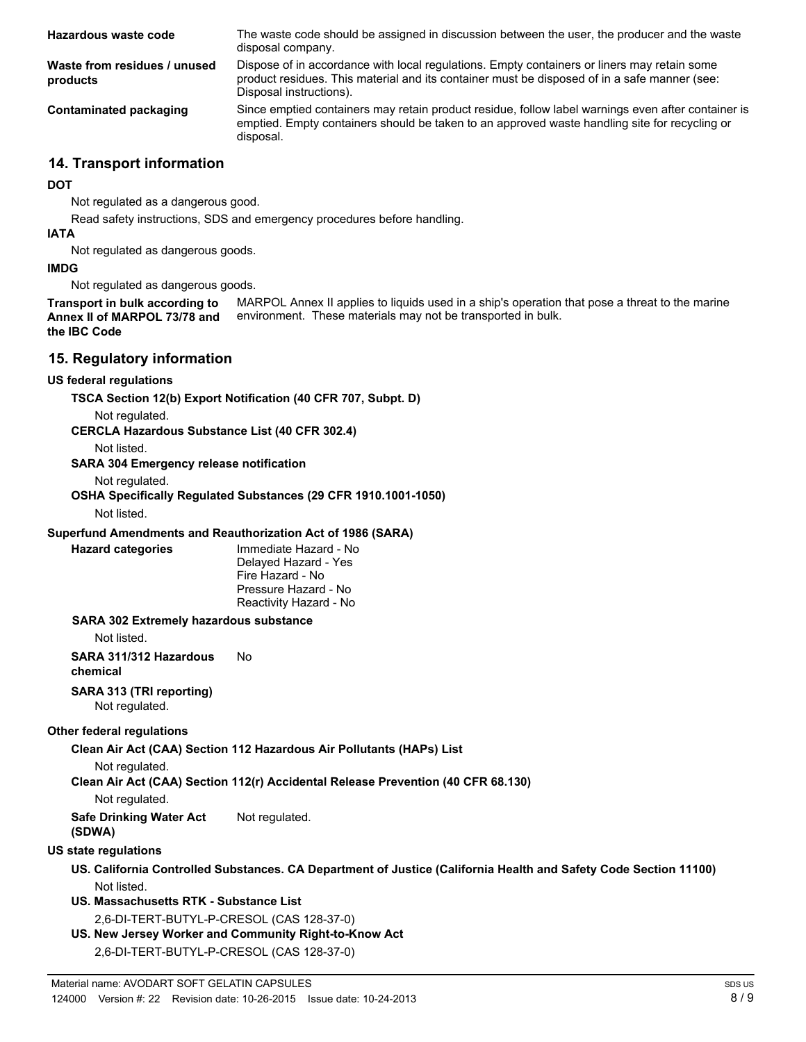| Hazardous waste code                     | The waste code should be assigned in discussion between the user, the producer and the waste<br>disposal company.                                                                                                      |
|------------------------------------------|------------------------------------------------------------------------------------------------------------------------------------------------------------------------------------------------------------------------|
| Waste from residues / unused<br>products | Dispose of in accordance with local regulations. Empty containers or liners may retain some<br>product residues. This material and its container must be disposed of in a safe manner (see:<br>Disposal instructions). |
| Contaminated packaging                   | Since emptied containers may retain product residue, follow label warnings even after container is<br>emptied. Empty containers should be taken to an approved waste handling site for recycling or<br>disposal.       |

# **14. Transport information**

#### **DOT**

Not regulated as a dangerous good.

Read safety instructions, SDS and emergency procedures before handling.

#### **IATA**

Not regulated as dangerous goods.

#### **IMDG**

Not regulated as dangerous goods.

MARPOL Annex II applies to liquids used in a ship's operation that pose a threat to the marine environment. These materials may not be transported in bulk. **Transport in bulk according to Annex II of MARPOL 73/78 and the IBC Code**

# **15. Regulatory information**

#### **US federal regulations**

**TSCA Section 12(b) Export Notification (40 CFR 707, Subpt. D)**

Not regulated.

**CERCLA Hazardous Substance List (40 CFR 302.4)**

Not listed.

#### **SARA 304 Emergency release notification**

Not regulated.

**OSHA Specifically Regulated Substances (29 CFR 1910.1001-1050)**

Not listed.

**Hazard categories**

# **Superfund Amendments and Reauthorization Act of 1986 (SARA)**

Immediate Hazard - No Delayed Hazard - Yes Fire Hazard - No Pressure Hazard - No Reactivity Hazard - No

#### **SARA 302 Extremely hazardous substance**

Not listed.

**SARA 311/312 Hazardous** No **chemical**

# **SARA 313 (TRI reporting)**

Not regulated.

# **Other federal regulations**

**Clean Air Act (CAA) Section 112 Hazardous Air Pollutants (HAPs) List**

Not regulated.

**Clean Air Act (CAA) Section 112(r) Accidental Release Prevention (40 CFR 68.130)**

# Not regulated.

**Safe Drinking Water Act** Not regulated. **(SDWA)**

# **US state regulations**

- **US. California Controlled Substances. CA Department of Justice (California Health and Safety Code Section 11100)** Not listed.
- **US. Massachusetts RTK Substance List** 2,6-DI-TERT-BUTYL-P-CRESOL (CAS 128-37-0)
- **US. New Jersey Worker and Community Right-to-Know Act**
	- 2,6-DI-TERT-BUTYL-P-CRESOL (CAS 128-37-0)